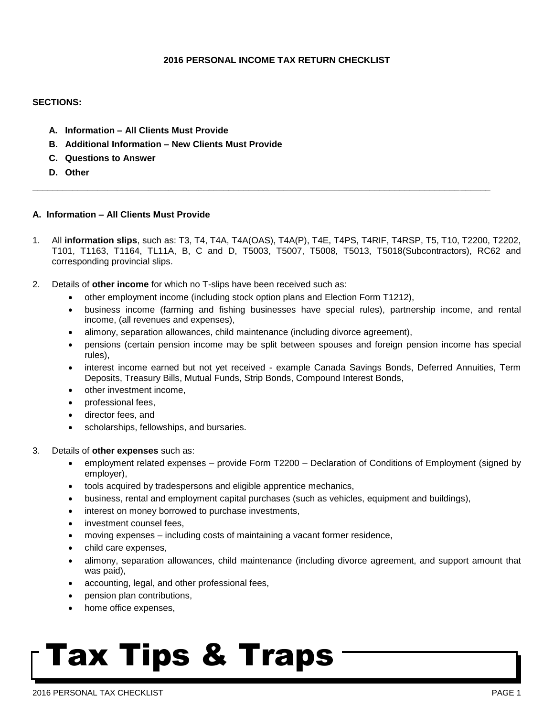## **2016 PERSONAL INCOME TAX RETURN CHECKLIST**

#### **SECTIONS:**

- **A. Information – All Clients Must Provide**
- **B. Additional Information – New Clients Must Provide**
- **C. Questions to Answer**
- **D. Other**

## **A. Information – All Clients Must Provide**

1. All **information slips**, such as: T3, T4, T4A, T4A(OAS), T4A(P), T4E, T4PS, T4RIF, T4RSP, T5, T10, T2200, T2202, T101, T1163, T1164, TL11A, B, C and D, T5003, T5007, T5008, T5013, T5018(Subcontractors), RC62 and corresponding provincial slips.

**\_\_\_\_\_\_\_\_\_\_\_\_\_\_\_\_\_\_\_\_\_\_\_\_\_\_\_\_\_\_\_\_\_\_\_\_\_\_\_\_\_\_\_\_\_\_\_\_\_\_\_\_\_\_\_\_\_\_\_\_\_\_\_\_\_\_\_\_\_\_\_\_\_\_\_\_\_\_\_\_\_\_\_\_\_\_\_\_\_\_\_**

- 2. Details of **other income** for which no T-slips have been received such as:
	- other employment income (including stock option plans and Election Form T1212),
	- business income (farming and fishing businesses have special rules), partnership income, and rental income, (all revenues and expenses),
	- alimony, separation allowances, child maintenance (including divorce agreement),
	- pensions (certain pension income may be split between spouses and foreign pension income has special rules),
	- interest income earned but not yet received example Canada Savings Bonds, Deferred Annuities, Term Deposits, Treasury Bills, Mutual Funds, Strip Bonds, Compound Interest Bonds,
	- other investment income.
	- professional fees,
	- director fees, and
	- scholarships, fellowships, and bursaries.
- 3. Details of **other expenses** such as:
	- employment related expenses provide Form T2200 Declaration of Conditions of Employment (signed by employer),
	- tools acquired by tradespersons and eligible apprentice mechanics,
	- business, rental and employment capital purchases (such as vehicles, equipment and buildings),
	- interest on money borrowed to purchase investments,
	- investment counsel fees,
	- moving expenses including costs of maintaining a vacant former residence,
	- child care expenses,
	- alimony, separation allowances, child maintenance (including divorce agreement, and support amount that was paid),
	- accounting, legal, and other professional fees,
	- pension plan contributions,
	- home office expenses,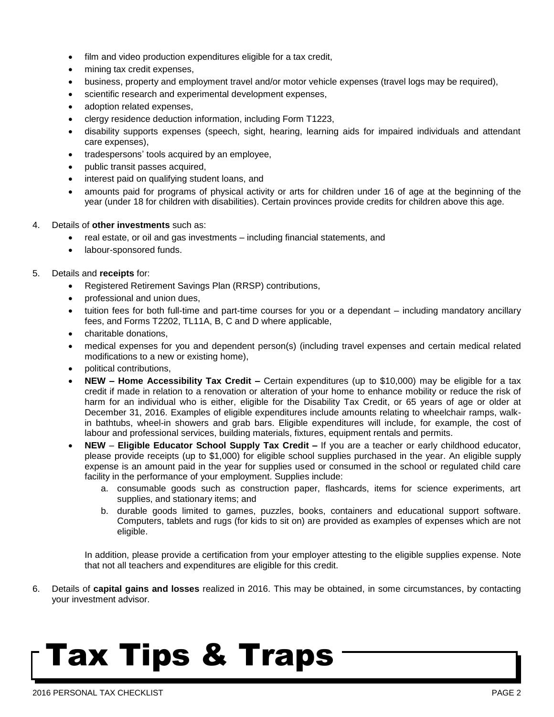- film and video production expenditures eligible for a tax credit,
- mining tax credit expenses,
- business, property and employment travel and/or motor vehicle expenses (travel logs may be required),
- scientific research and experimental development expenses,
- adoption related expenses,
- clergy residence deduction information, including Form T1223,
- disability supports expenses (speech, sight, hearing, learning aids for impaired individuals and attendant care expenses),
- tradespersons' tools acquired by an employee,
- public transit passes acquired,
- interest paid on qualifying student loans, and
- amounts paid for programs of physical activity or arts for children under 16 of age at the beginning of the year (under 18 for children with disabilities). Certain provinces provide credits for children above this age.
- 4. Details of **other investments** such as:
	- real estate, or oil and gas investments including financial statements, and
	- labour-sponsored funds.

## 5. Details and **receipts** for:

- Registered Retirement Savings Plan (RRSP) contributions,
- professional and union dues,
- tuition fees for both full-time and part-time courses for you or a dependant including mandatory ancillary fees, and Forms T2202, TL11A, B, C and D where applicable,
- charitable donations,
- medical expenses for you and dependent person(s) (including travel expenses and certain medical related modifications to a new or existing home),
- political contributions,
- **NEW – Home Accessibility Tax Credit –** Certain expenditures (up to \$10,000) may be eligible for a tax credit if made in relation to a renovation or alteration of your home to enhance mobility or reduce the risk of harm for an individual who is either, eligible for the Disability Tax Credit, or 65 years of age or older at December 31, 2016. Examples of eligible expenditures include amounts relating to wheelchair ramps, walkin bathtubs, wheel-in showers and grab bars. Eligible expenditures will include, for example, the cost of labour and professional services, building materials, fixtures, equipment rentals and permits.
- **NEW Eligible Educator School Supply Tax Credit –** If you are a teacher or early childhood educator, please provide receipts (up to \$1,000) for eligible school supplies purchased in the year. An eligible supply expense is an amount paid in the year for supplies used or consumed in the school or regulated child care facility in the performance of your employment. Supplies include:
	- a. consumable goods such as construction paper, flashcards, items for science experiments, art supplies, and stationary items; and
	- b. durable goods limited to games, puzzles, books, containers and educational support software. Computers, tablets and rugs (for kids to sit on) are provided as examples of expenses which are not eligible.

In addition, please provide a certification from your employer attesting to the eligible supplies expense. Note that not all teachers and expenditures are eligible for this credit.

6. Details of **capital gains and losses** realized in 2016. This may be obtained, in some circumstances, by contacting your investment advisor.

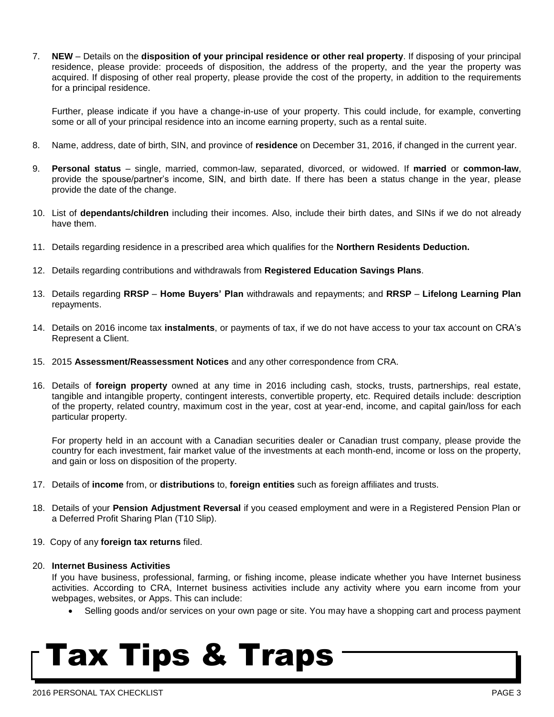7. **NEW** – Details on the **disposition of your principal residence or other real property**. If disposing of your principal residence, please provide: proceeds of disposition, the address of the property, and the year the property was acquired. If disposing of other real property, please provide the cost of the property, in addition to the requirements for a principal residence.

Further, please indicate if you have a change-in-use of your property. This could include, for example, converting some or all of your principal residence into an income earning property, such as a rental suite.

- 8. Name, address, date of birth, SIN, and province of **residence** on December 31, 2016, if changed in the current year.
- 9. **Personal status**  single, married, common-law, separated, divorced, or widowed. If **married** or **common-law**, provide the spouse/partner's income, SIN, and birth date. If there has been a status change in the year, please provide the date of the change.
- 10. List of **dependants/children** including their incomes. Also, include their birth dates, and SINs if we do not already have them.
- 11. Details regarding residence in a prescribed area which qualifies for the **Northern Residents Deduction.**
- 12. Details regarding contributions and withdrawals from **Registered Education Savings Plans**.
- 13. Details regarding **RRSP Home Buyers' Plan** withdrawals and repayments; and **RRSP Lifelong Learning Plan** repayments.
- 14. Details on 2016 income tax **instalments**, or payments of tax, if we do not have access to your tax account on CRA's Represent a Client.
- 15. 2015 **Assessment/Reassessment Notices** and any other correspondence from CRA.
- 16. Details of **foreign property** owned at any time in 2016 including cash, stocks, trusts, partnerships, real estate, tangible and intangible property, contingent interests, convertible property, etc. Required details include: description of the property, related country, maximum cost in the year, cost at year-end, income, and capital gain/loss for each particular property.

For property held in an account with a Canadian securities dealer or Canadian trust company, please provide the country for each investment, fair market value of the investments at each month-end, income or loss on the property, and gain or loss on disposition of the property.

- 17. Details of **income** from, or **distributions** to, **foreign entities** such as foreign affiliates and trusts.
- 18. Details of your **Pension Adjustment Reversal** if you ceased employment and were in a Registered Pension Plan or a Deferred Profit Sharing Plan (T10 Slip).
- 19. Copy of any **foreign tax returns** filed.
- 20. **Internet Business Activities**

If you have business, professional, farming, or fishing income, please indicate whether you have Internet business activities. According to CRA, Internet business activities include any activity where you earn income from your webpages, websites, or Apps. This can include:

Selling goods and/or services on your own page or site. You may have a shopping cart and process payment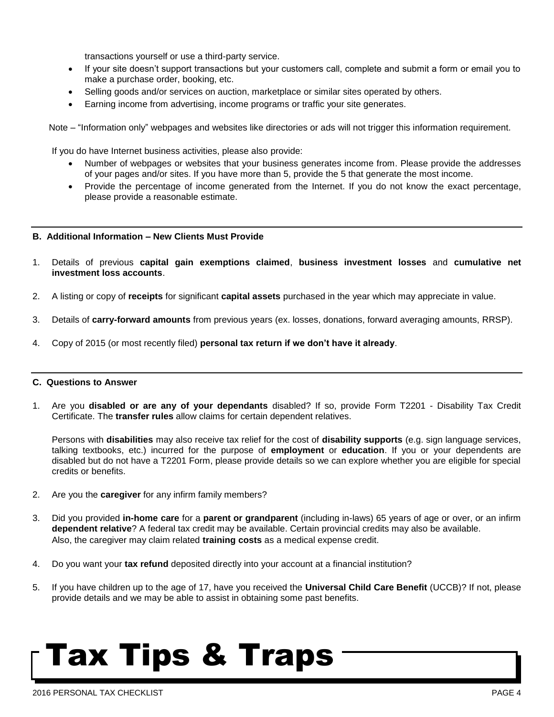transactions yourself or use a third-party service.

- If your site doesn't support transactions but your customers call, complete and submit a form or email you to make a purchase order, booking, etc.
- Selling goods and/or services on auction, marketplace or similar sites operated by others.
- Earning income from advertising, income programs or traffic your site generates.

Note – "Information only" webpages and websites like directories or ads will not trigger this information requirement.

If you do have Internet business activities, please also provide:

- Number of webpages or websites that your business generates income from. Please provide the addresses of your pages and/or sites. If you have more than 5, provide the 5 that generate the most income.
- Provide the percentage of income generated from the Internet. If you do not know the exact percentage, please provide a reasonable estimate.

#### **B. Additional Information – New Clients Must Provide**

- 1. Details of previous **capital gain exemptions claimed**, **business investment losses** and **cumulative net investment loss accounts**.
- 2. A listing or copy of **receipts** for significant **capital assets** purchased in the year which may appreciate in value.
- 3. Details of **carry-forward amounts** from previous years (ex. losses, donations, forward averaging amounts, RRSP).
- 4. Copy of 2015 (or most recently filed) **personal tax return if we don't have it already**.

#### **C. Questions to Answer**

1. Are you **disabled or are any of your dependants** disabled? If so, provide Form T2201 - Disability Tax Credit Certificate. The **transfer rules** allow claims for certain dependent relatives.

Persons with **disabilities** may also receive tax relief for the cost of **disability supports** (e.g. sign language services, talking textbooks, etc.) incurred for the purpose of **employment** or **education**. If you or your dependents are disabled but do not have a T2201 Form, please provide details so we can explore whether you are eligible for special credits or benefits.

- 2. Are you the **caregiver** for any infirm family members?
- 3. Did you provided **in-home care** for a **parent or grandparent** (including in-laws) 65 years of age or over, or an infirm **dependent relative**? A federal tax credit may be available. Certain provincial credits may also be available. Also, the caregiver may claim related **training costs** as a medical expense credit.
- 4. Do you want your **tax refund** deposited directly into your account at a financial institution?
- 5. If you have children up to the age of 17, have you received the **Universal Child Care Benefit** (UCCB)? If not, please provide details and we may be able to assist in obtaining some past benefits.